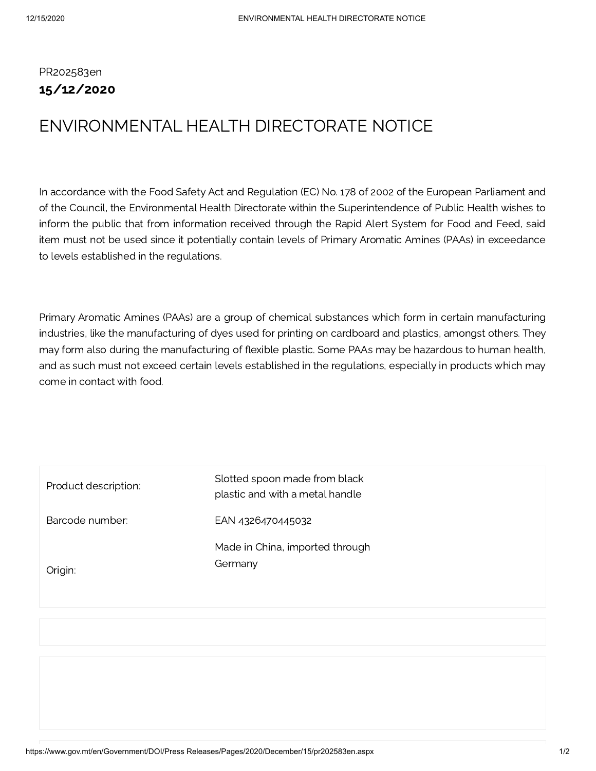PR202583en 15/12/2020

## ENVIRONMENTAL HEALTH DIRECTORATE NOTICE

In accordance with the Food Safety Act and Regulation (EC) No. 178 of 2002 of the European Parliament and of the Council, the Environmental Health Directorate within the Superintendence of Public Health wishes to inform the public that from information received through the Rapid Alert System for Food and Feed, said item must not be used since it potentially contain levels of Primary Aromatic Amines (PAAs) in exceedance to levels established in the regulations.

Primary Aromatic Amines (PAAs) are a group of chemical substances which form in certain manufacturing industries, like the manufacturing of dyes used for printing on cardboard and plastics, amongst others. They may form also during the manufacturing of flexible plastic. Some PAAs may be hazardous to human health, and as such must not exceed certain levels established in the regulations, especially in products which may come in contact with food.

| Product description: | Slotted spoon made from black<br>plastic and with a metal handle |
|----------------------|------------------------------------------------------------------|
| Barcode number:      | EAN 4326470445032                                                |
| Origin:              | Made in China, imported through<br>Germany                       |